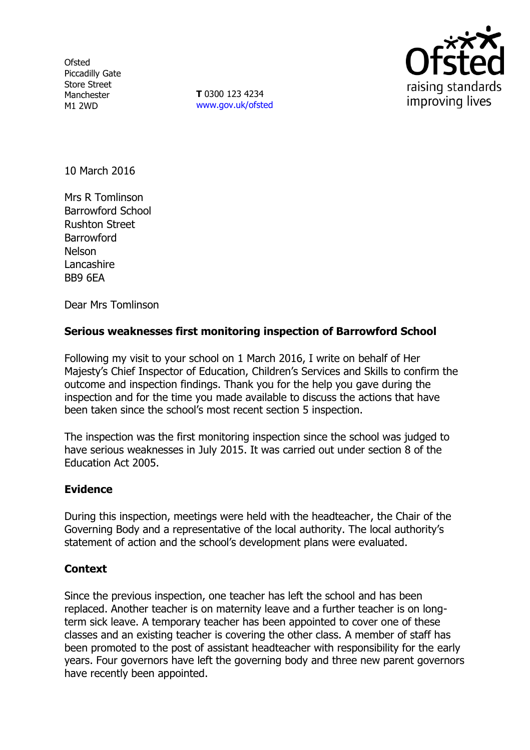Ofsted Piccadilly Gate Store Street Manchester M1 2WD

**T** 0300 123 4234 www.gov.uk/ofsted



10 March 2016

Mrs R Tomlinson Barrowford School Rushton Street **Barrowford** Nelson **Lancashire** BB9 6EA

Dear Mrs Tomlinson

## **Serious weaknesses first monitoring inspection of Barrowford School**

Following my visit to your school on 1 March 2016, I write on behalf of Her Majesty's Chief Inspector of Education, Children's Services and Skills to confirm the outcome and inspection findings. Thank you for the help you gave during the inspection and for the time you made available to discuss the actions that have been taken since the school's most recent section 5 inspection.

The inspection was the first monitoring inspection since the school was judged to have serious weaknesses in July 2015. It was carried out under section 8 of the Education Act 2005.

### **Evidence**

During this inspection, meetings were held with the headteacher, the Chair of the Governing Body and a representative of the local authority. The local authority's statement of action and the school's development plans were evaluated.

### **Context**

Since the previous inspection, one teacher has left the school and has been replaced. Another teacher is on maternity leave and a further teacher is on longterm sick leave. A temporary teacher has been appointed to cover one of these classes and an existing teacher is covering the other class. A member of staff has been promoted to the post of assistant headteacher with responsibility for the early years. Four governors have left the governing body and three new parent governors have recently been appointed.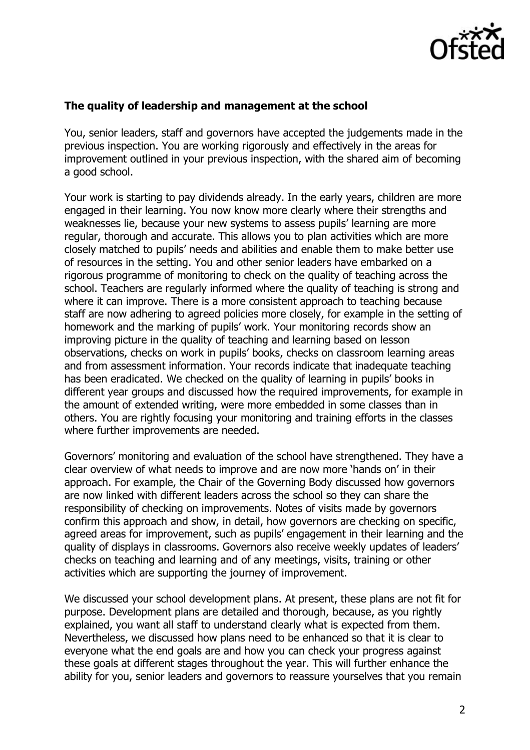

# **The quality of leadership and management at the school**

You, senior leaders, staff and governors have accepted the judgements made in the previous inspection. You are working rigorously and effectively in the areas for improvement outlined in your previous inspection, with the shared aim of becoming a good school.

Your work is starting to pay dividends already. In the early years, children are more engaged in their learning. You now know more clearly where their strengths and weaknesses lie, because your new systems to assess pupils' learning are more regular, thorough and accurate. This allows you to plan activities which are more closely matched to pupils' needs and abilities and enable them to make better use of resources in the setting. You and other senior leaders have embarked on a rigorous programme of monitoring to check on the quality of teaching across the school. Teachers are regularly informed where the quality of teaching is strong and where it can improve. There is a more consistent approach to teaching because staff are now adhering to agreed policies more closely, for example in the setting of homework and the marking of pupils' work. Your monitoring records show an improving picture in the quality of teaching and learning based on lesson observations, checks on work in pupils' books, checks on classroom learning areas and from assessment information. Your records indicate that inadequate teaching has been eradicated. We checked on the quality of learning in pupils' books in different year groups and discussed how the required improvements, for example in the amount of extended writing, were more embedded in some classes than in others. You are rightly focusing your monitoring and training efforts in the classes where further improvements are needed.

Governors' monitoring and evaluation of the school have strengthened. They have a clear overview of what needs to improve and are now more 'hands on' in their approach. For example, the Chair of the Governing Body discussed how governors are now linked with different leaders across the school so they can share the responsibility of checking on improvements. Notes of visits made by governors confirm this approach and show, in detail, how governors are checking on specific, agreed areas for improvement, such as pupils' engagement in their learning and the quality of displays in classrooms. Governors also receive weekly updates of leaders' checks on teaching and learning and of any meetings, visits, training or other activities which are supporting the journey of improvement.

We discussed your school development plans. At present, these plans are not fit for purpose. Development plans are detailed and thorough, because, as you rightly explained, you want all staff to understand clearly what is expected from them. Nevertheless, we discussed how plans need to be enhanced so that it is clear to everyone what the end goals are and how you can check your progress against these goals at different stages throughout the year. This will further enhance the ability for you, senior leaders and governors to reassure yourselves that you remain